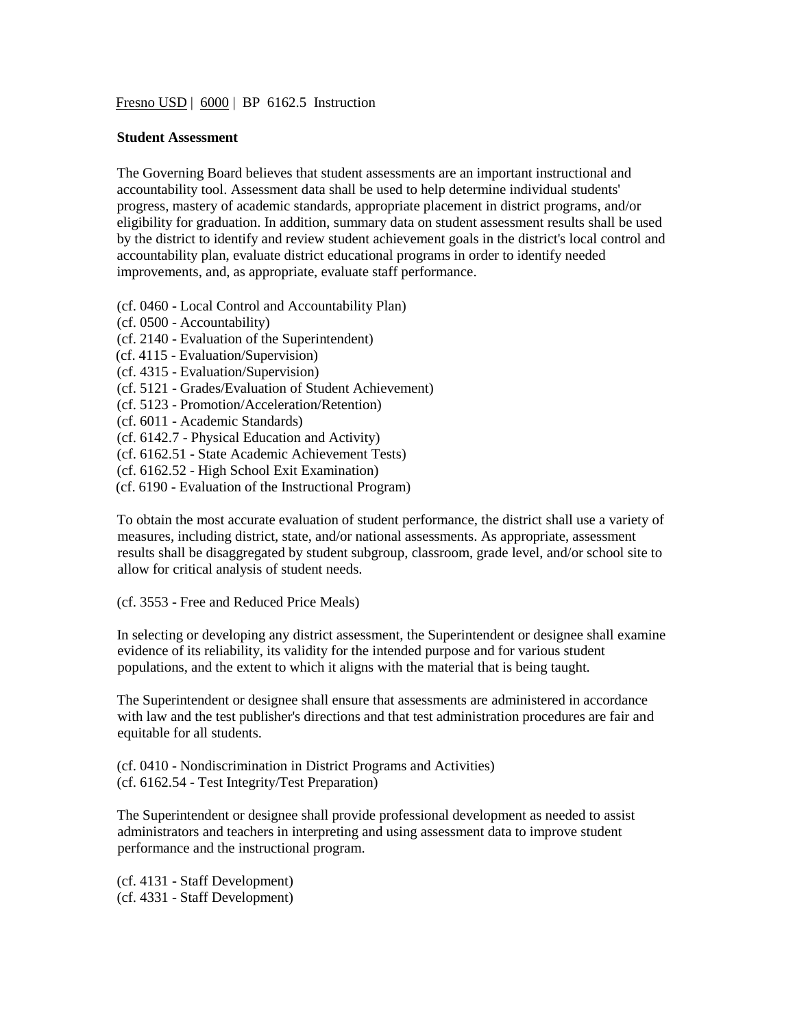Fresno USD | 6000 | BP 6162.5 Instruction

## **Student Assessment**

The Governing Board believes that student assessments are an important instructional and accountability tool. Assessment data shall be used to help determine individual students' progress, mastery of academic standards, appropriate placement in district programs, and/or eligibility for graduation. In addition, summary data on student assessment results shall be used by the district to identify and review student achievement goals in the district's local control and accountability plan, evaluate district educational programs in order to identify needed improvements, and, as appropriate, evaluate staff performance.

- (cf. 0460 Local Control and Accountability Plan)
- (cf. 0500 Accountability)
- (cf. 2140 Evaluation of the Superintendent)
- (cf. 4115 Evaluation/Supervision)
- (cf. 4315 Evaluation/Supervision)
- (cf. 5121 Grades/Evaluation of Student Achievement)
- (cf. 5123 Promotion/Acceleration/Retention)
- (cf. 6011 Academic Standards)
- (cf. 6142.7 Physical Education and Activity)
- (cf. 6162.51 State Academic Achievement Tests)
- (cf. 6162.52 High School Exit Examination)
- (cf. 6190 Evaluation of the Instructional Program)

To obtain the most accurate evaluation of student performance, the district shall use a variety of measures, including district, state, and/or national assessments. As appropriate, assessment results shall be disaggregated by student subgroup, classroom, grade level, and/or school site to allow for critical analysis of student needs.

(cf. 3553 - Free and Reduced Price Meals)

In selecting or developing any district assessment, the Superintendent or designee shall examine evidence of its reliability, its validity for the intended purpose and for various student populations, and the extent to which it aligns with the material that is being taught.

The Superintendent or designee shall ensure that assessments are administered in accordance with law and the test publisher's directions and that test administration procedures are fair and equitable for all students.

(cf. 0410 - Nondiscrimination in District Programs and Activities) (cf. 6162.54 - Test Integrity/Test Preparation)

The Superintendent or designee shall provide professional development as needed to assist administrators and teachers in interpreting and using assessment data to improve student performance and the instructional program.

(cf. 4131 - Staff Development) (cf. 4331 - Staff Development)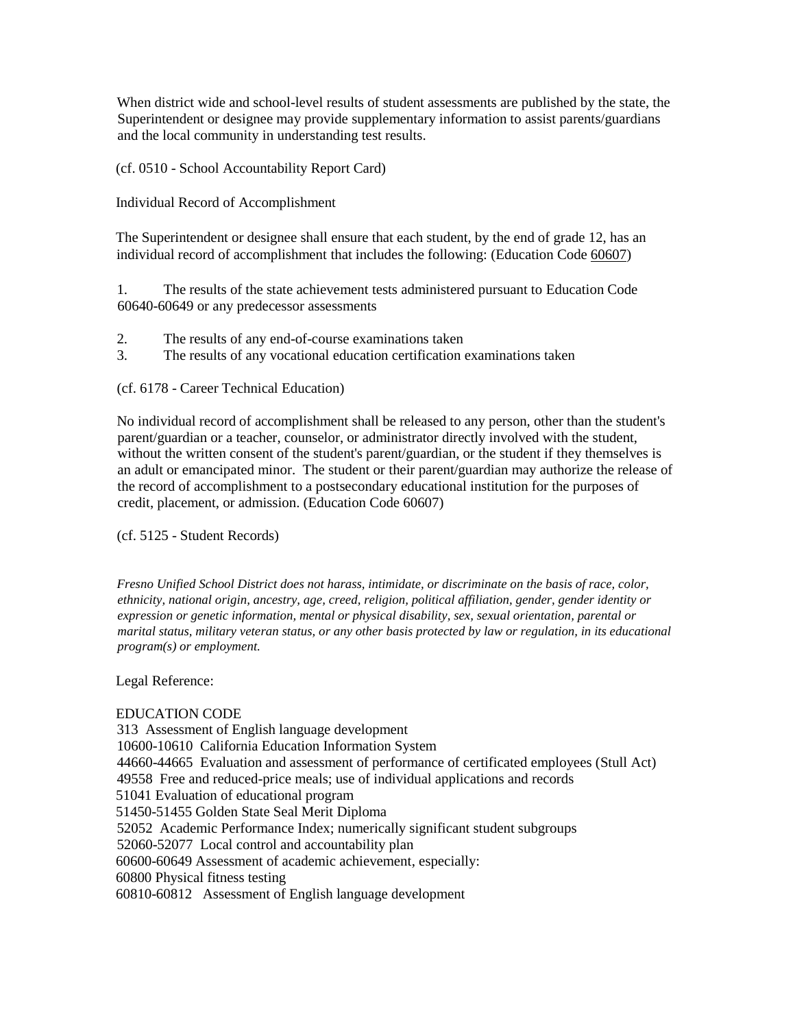When district wide and school-level results of student assessments are published by the state, the Superintendent or designee may provide supplementary information to assist parents/guardians and the local community in understanding test results.

(cf. 0510 - School Accountability Report Card)

Individual Record of Accomplishment

The Superintendent or designee shall ensure that each student, by the end of grade 12, has an individual record of accomplishment that includes the following: (Education Code 60607)

1. The results of the state achievement tests administered pursuant to Education Code 60640-60649 or any predecessor assessments

- 2. The results of any end-of-course examinations taken
- 3. The results of any vocational education certification examinations taken

(cf. 6178 - Career Technical Education)

No individual record of accomplishment shall be released to any person, other than the student's parent/guardian or a teacher, counselor, or administrator directly involved with the student, without the written consent of the student's parent/guardian, or the student if they themselves is an adult or emancipated minor. The student or their parent/guardian may authorize the release of the record of accomplishment to a postsecondary educational institution for the purposes of credit, placement, or admission. (Education Code 60607)

(cf. 5125 - Student Records)

*Fresno Unified School District does not harass, intimidate, or discriminate on the basis of race, color, ethnicity, national origin, ancestry, age, creed, religion, political affiliation, gender, gender identity or expression or genetic information, mental or physical disability, sex, sexual orientation, parental or marital status, military veteran status, or any other basis protected by law or regulation, in its educational program(s) or employment.*

Legal Reference:

## EDUCATION CODE

313 Assessment of English language development 10600-10610 California Education Information System 44660-44665 Evaluation and assessment of performance of certificated employees (Stull Act) 49558 Free and reduced-price meals; use of individual applications and records 51041 Evaluation of educational program 51450-51455 Golden State Seal Merit Diploma 52052 Academic Performance Index; numerically significant student subgroups 52060-52077 Local control and accountability plan 60600-60649 Assessment of academic achievement, especially: 60800 Physical fitness testing 60810-60812 Assessment of English language development